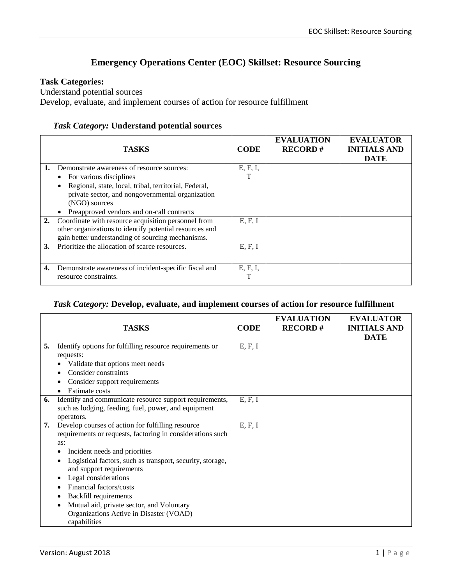## **Emergency Operations Center (EOC) Skillset: Resource Sourcing**

## **Task Categories:**

Understand potential sources

Develop, evaluate, and implement courses of action for resource fulfillment

## *Task Category:* **Understand potential sources**

|    | <b>TASKS</b>                                                                                                                                                        | <b>CODE</b> | <b>EVALUATION</b><br><b>RECORD#</b> | <b>EVALUATOR</b><br><b>INITIALS AND</b><br><b>DATE</b> |
|----|---------------------------------------------------------------------------------------------------------------------------------------------------------------------|-------------|-------------------------------------|--------------------------------------------------------|
| 1. | Demonstrate awareness of resource sources:                                                                                                                          | E, F, I,    |                                     |                                                        |
|    | For various disciplines                                                                                                                                             |             |                                     |                                                        |
|    | Regional, state, local, tribal, territorial, Federal,                                                                                                               |             |                                     |                                                        |
|    | private sector, and nongovernmental organization<br>(NGO) sources                                                                                                   |             |                                     |                                                        |
|    | Preapproved vendors and on-call contracts                                                                                                                           |             |                                     |                                                        |
| 2. | Coordinate with resource acquisition personnel from<br>other organizations to identify potential resources and<br>gain better understanding of sourcing mechanisms. | E, F, I     |                                     |                                                        |
| 3. | Prioritize the allocation of scarce resources.                                                                                                                      | E, F, I     |                                     |                                                        |
| 4. | Demonstrate awareness of incident-specific fiscal and<br>resource constraints.                                                                                      | E, F, I,    |                                     |                                                        |

## *Task Category:* **Develop, evaluate, and implement courses of action for resource fulfillment**

|    | <b>TASKS</b>                                                                                                                                                                                                                                                                                                                                                                                                                                | <b>CODE</b> | <b>EVALUATION</b><br><b>RECORD#</b> | <b>EVALUATOR</b><br><b>INITIALS AND</b><br><b>DATE</b> |
|----|---------------------------------------------------------------------------------------------------------------------------------------------------------------------------------------------------------------------------------------------------------------------------------------------------------------------------------------------------------------------------------------------------------------------------------------------|-------------|-------------------------------------|--------------------------------------------------------|
| 5. | Identify options for fulfilling resource requirements or<br>requests:<br>Validate that options meet needs<br>Consider constraints<br>Consider support requirements<br><b>Estimate costs</b>                                                                                                                                                                                                                                                 | E, F, I     |                                     |                                                        |
| 6. | Identify and communicate resource support requirements,<br>such as lodging, feeding, fuel, power, and equipment<br>operators.                                                                                                                                                                                                                                                                                                               | E, F, I     |                                     |                                                        |
| 7. | Develop courses of action for fulfilling resource<br>requirements or requests, factoring in considerations such<br>as:<br>Incident needs and priorities<br>Logistical factors, such as transport, security, storage,<br>and support requirements<br>Legal considerations<br>Financial factors/costs<br><b>Backfill requirements</b><br>Mutual aid, private sector, and Voluntary<br>Organizations Active in Disaster (VOAD)<br>capabilities | E, F, I     |                                     |                                                        |